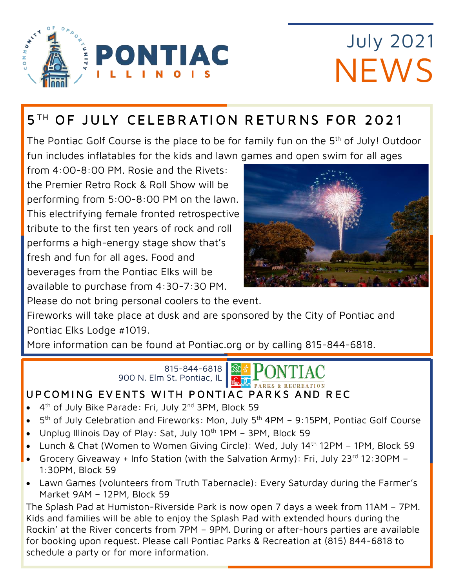

# **July 2021 NEWS**

## 5<sup>TH</sup> OF JULY CELEBRATION RETURNS FOR 2021

The Pontiac Golf Course is the place to be for family fun on the 5<sup>th</sup> of July! Outdoor fun includes inflatables for the kids and lawn games and open swim for all ages

from 4:00-8:00 PM. Rosie and the Rivets: the Premier Retro Rock & Roll Show will be performing from 5:00-8:00 PM on the lawn. This electrifying female fronted retrospective tribute to the first ten years of rock and roll performs a high-energy stage show that's fresh and fun for all ages. Food and beverages from the Pontiac Elks will be available to purchase from 4:30-7:30 PM.



Please do not bring personal coolers to the event.

Fireworks will take place at dusk and are sponsored by the City of Pontiac and Pontiac Elks Lodge #1019.

More information can be found at Pontiac.org or by calling 815-844-6818.

815-844-6818 900 N. Elm St. Pontiac, IL



### UPCOMING EVENTS WITH PONTIAC PARKS AND REC

- 4<sup>th</sup> of July Bike Parade: Fri, July 2<sup>nd</sup> 3PM, Block 59
- 5<sup>th</sup> of July Celebration and Fireworks: Mon, July 5<sup>th</sup> 4PM 9:15PM, Pontiac Golf Course
- Unplug Illinois Day of Play: Sat, July 10<sup>th</sup> 1PM 3PM, Block 59
- Lunch & Chat (Women to Women Giving Circle): Wed, July 14th 12PM 1PM, Block 59
- Grocery Giveaway + Info Station (with the Salvation Army): Fri, July 23rd 12:30PM 1:30PM, Block 59
- Lawn Games (volunteers from Truth Tabernacle): Every Saturday during the Farmer's Market 9AM – 12PM, Block 59

The Splash Pad at Humiston-Riverside Park is now open 7 days a week from 11AM – 7PM. Kids and families will be able to enjoy the Splash Pad with extended hours during the Rockin' at the River concerts from 7PM – 9PM. During or after-hours parties are available for booking upon request. Please call Pontiac Parks & Recreation at (815) 844-6818 to schedule a party or for more information.